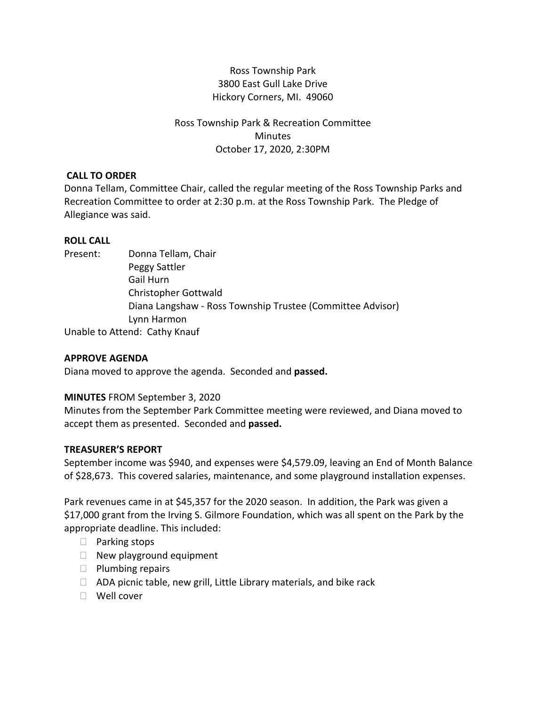# Ross Township Park 3800 East Gull Lake Drive Hickory Corners, MI. 49060

# Ross Township Park & Recreation Committee **Minutes** October 17, 2020, 2:30PM

## **CALL TO ORDER**

Donna Tellam, Committee Chair, called the regular meeting of the Ross Township Parks and Recreation Committee to order at 2:30 p.m. at the Ross Township Park. The Pledge of Allegiance was said.

## **ROLL CALL**

Present: Donna Tellam, Chair

Peggy Sattler Gail Hurn Christopher Gottwald Diana Langshaw - Ross Township Trustee (Committee Advisor) Lynn Harmon

Unable to Attend: Cathy Knauf

## **APPROVE AGENDA**

Diana moved to approve the agenda. Seconded and **passed.**

## **MINUTES** FROM September 3, 2020

Minutes from the September Park Committee meeting were reviewed, and Diana moved to accept them as presented. Seconded and **passed.**

## **TREASURER'S REPORT**

September income was \$940, and expenses were \$4,579.09, leaving an End of Month Balance of \$28,673. This covered salaries, maintenance, and some playground installation expenses.

Park revenues came in at \$45,357 for the 2020 season. In addition, the Park was given a \$17,000 grant from the Irving S. Gilmore Foundation, which was all spent on the Park by the appropriate deadline. This included:

- $\Box$  Parking stops
- $\Box$  New playground equipment
- $\Box$  Plumbing repairs
- $\Box$  ADA picnic table, new grill, Little Library materials, and bike rack
- Well cover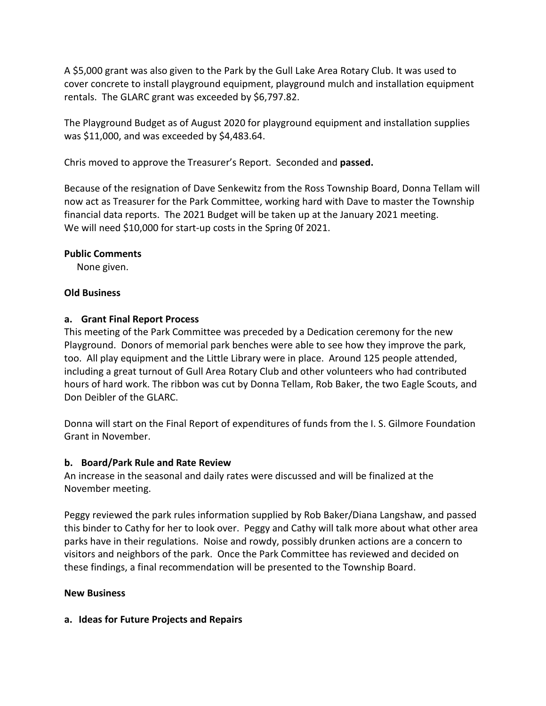A \$5,000 grant was also given to the Park by the Gull Lake Area Rotary Club. It was used to cover concrete to install playground equipment, playground mulch and installation equipment rentals. The GLARC grant was exceeded by \$6,797.82.

The Playground Budget as of August 2020 for playground equipment and installation supplies was \$11,000, and was exceeded by \$4,483.64.

Chris moved to approve the Treasurer's Report. Seconded and **passed.**

Because of the resignation of Dave Senkewitz from the Ross Township Board, Donna Tellam will now act as Treasurer for the Park Committee, working hard with Dave to master the Township financial data reports. The 2021 Budget will be taken up at the January 2021 meeting. We will need \$10,000 for start-up costs in the Spring Of 2021.

## **Public Comments**

None given.

#### **Old Business**

#### **a. Grant Final Report Process**

This meeting of the Park Committee was preceded by a Dedication ceremony for the new Playground. Donors of memorial park benches were able to see how they improve the park, too. All play equipment and the Little Library were in place. Around 125 people attended, including a great turnout of Gull Area Rotary Club and other volunteers who had contributed hours of hard work. The ribbon was cut by Donna Tellam, Rob Baker, the two Eagle Scouts, and Don Deibler of the GLARC.

Donna will start on the Final Report of expenditures of funds from the I. S. Gilmore Foundation Grant in November.

## **b. Board/Park Rule and Rate Review**

An increase in the seasonal and daily rates were discussed and will be finalized at the November meeting.

Peggy reviewed the park rules information supplied by Rob Baker/Diana Langshaw, and passed this binder to Cathy for her to look over. Peggy and Cathy will talk more about what other area parks have in their regulations. Noise and rowdy, possibly drunken actions are a concern to visitors and neighbors of the park. Once the Park Committee has reviewed and decided on these findings, a final recommendation will be presented to the Township Board.

## **New Business**

## **a. Ideas for Future Projects and Repairs**